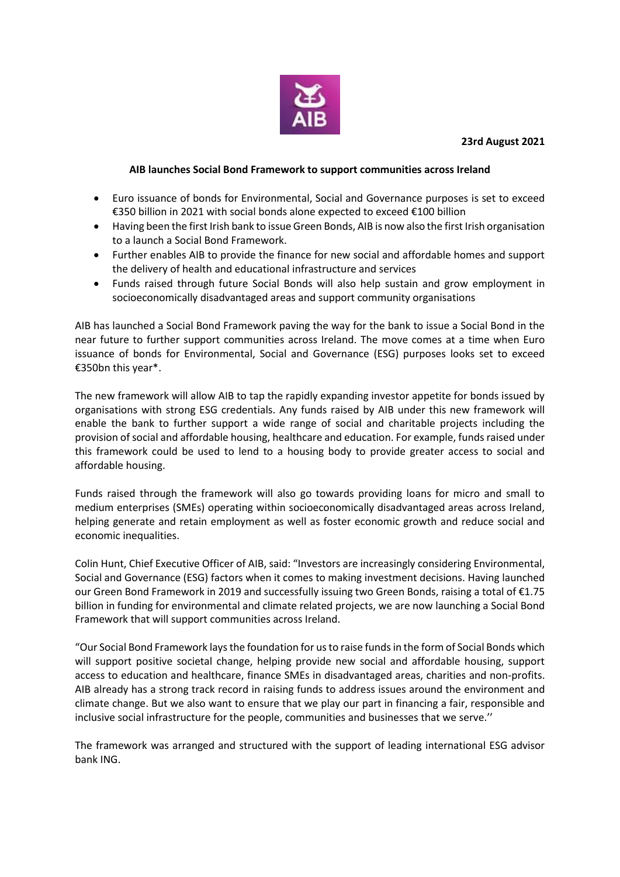

## **23rd August 2021**

## **AIB launches Social Bond Framework to support communities across Ireland**

- Euro issuance of bonds for Environmental, Social and Governance purposes is set to exceed €350 billion in 2021 with social bonds alone expected to exceed €100 billion
- Having been the first Irish bank to issue Green Bonds, AIB is now also the first Irish organisation to a launch a Social Bond Framework.
- Further enables AIB to provide the finance for new social and affordable homes and support the delivery of health and educational infrastructure and services
- Funds raised through future Social Bonds will also help sustain and grow employment in socioeconomically disadvantaged areas and support community organisations

AIB has launched a Social Bond Framework paving the way for the bank to issue a Social Bond in the near future to further support communities across Ireland. The move comes at a time when Euro issuance of bonds for Environmental, Social and Governance (ESG) purposes looks set to exceed €350bn this year\*.

The new framework will allow AIB to tap the rapidly expanding investor appetite for bonds issued by organisations with strong ESG credentials. Any funds raised by AIB under this new framework will enable the bank to further support a wide range of social and charitable projects including the provision of social and affordable housing, healthcare and education. For example, funds raised under this framework could be used to lend to a housing body to provide greater access to social and affordable housing.

Funds raised through the framework will also go towards providing loans for micro and small to medium enterprises (SMEs) operating within socioeconomically disadvantaged areas across Ireland, helping generate and retain employment as well as foster economic growth and reduce social and economic inequalities.

Colin Hunt, Chief Executive Officer of AIB, said: "Investors are increasingly considering Environmental, Social and Governance (ESG) factors when it comes to making investment decisions. Having launched our Green Bond Framework in 2019 and successfully issuing two Green Bonds, raising a total of €1.75 billion in funding for environmental and climate related projects, we are now launching a Social Bond Framework that will support communities across Ireland.

"Our Social Bond Framework lays the foundation for us to raise funds in the form of Social Bonds which will support positive societal change, helping provide new social and affordable housing, support access to education and healthcare, finance SMEs in disadvantaged areas, charities and non-profits. AIB already has a strong track record in raising funds to address issues around the environment and climate change. But we also want to ensure that we play our part in financing a fair, responsible and inclusive social infrastructure for the people, communities and businesses that we serve.''

The framework was arranged and structured with the support of leading international ESG advisor bank ING.